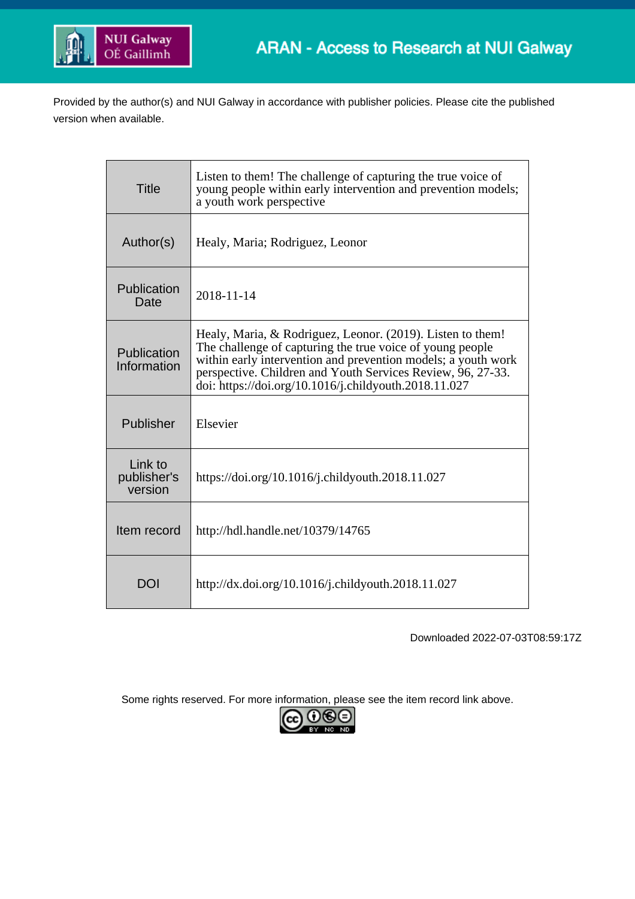

Provided by the author(s) and NUI Galway in accordance with publisher policies. Please cite the published version when available.

| <b>Title</b>                      | Listen to them! The challenge of capturing the true voice of<br>young people within early intervention and prevention models;<br>a youth work perspective                                                                                                                                                        |
|-----------------------------------|------------------------------------------------------------------------------------------------------------------------------------------------------------------------------------------------------------------------------------------------------------------------------------------------------------------|
| Author(s)                         | Healy, Maria; Rodriguez, Leonor                                                                                                                                                                                                                                                                                  |
| Publication<br>Date               | 2018-11-14                                                                                                                                                                                                                                                                                                       |
| Publication<br>Information        | Healy, Maria, & Rodriguez, Leonor. (2019). Listen to them!<br>The challenge of capturing the true voice of young people<br>within early intervention and prevention models; a youth work<br>perspective. Children and Youth Services Review, 96, 27-33.<br>doi: https://doi.org/10.1016/j.childyouth.2018.11.027 |
| Publisher                         | Elsevier                                                                                                                                                                                                                                                                                                         |
| Link to<br>publisher's<br>version | https://doi.org/10.1016/j.childyouth.2018.11.027                                                                                                                                                                                                                                                                 |
| Item record                       | http://hdl.handle.net/10379/14765                                                                                                                                                                                                                                                                                |
| DOI                               | http://dx.doi.org/10.1016/j.childyouth.2018.11.027                                                                                                                                                                                                                                                               |

Downloaded 2022-07-03T08:59:17Z

Some rights reserved. For more information, please see the item record link above.

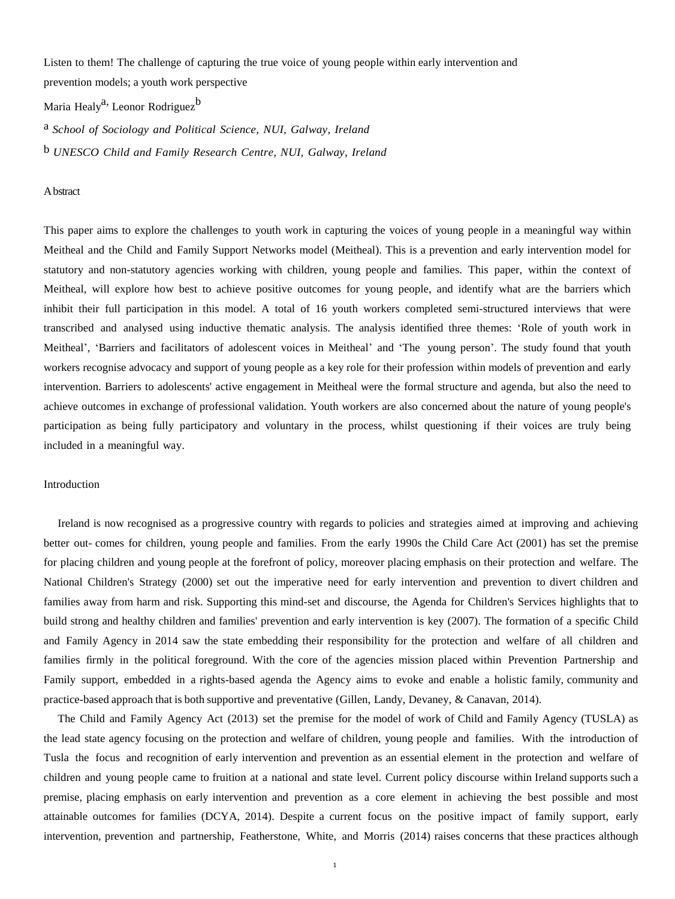Listen to them! The challenge of capturing the true voice of young people within early intervention and prevention models; a youth work perspective

Maria Healy<sup>a,</sup> Leonor Rodriguez<sup>[b](#page-1-1)</sup>

<span id="page-1-1"></span><span id="page-1-0"></span>a *School of Sociology and Political Science, NUI, Galway, Ireland* b *UNESCO Child and Family Research Centre, NUI, Galway, Ireland*

Abstract

This paper aims to explore the challenges to youth work in capturing the voices of young people in a meaningful way within Meitheal and the Child and Family Support Networks model (Meitheal). This is a prevention and early intervention model for statutory and non-statutory agencies working with children, young people and families. This paper, within the context of Meitheal, will explore how best to achieve positive outcomes for young people, and identify what are the barriers which inhibit their full participation in this model. A total of 16 youth workers completed semi-structured interviews that were transcribed and analysed using inductive thematic analysis. The analysis identified three themes: 'Role of youth work in Meitheal', 'Barriers and facilitators of adolescent voices in Meitheal' and 'The young person'. The study found that youth workers recognise advocacy and support of young people as a key role for their profession within models of prevention and early intervention. Barriers to adolescents' active engagement in Meitheal were the formal structure and agenda, but also the need to achieve outcomes in exchange of professional validation. Youth workers are also concerned about the nature of young people's participation as being fully participatory and voluntary in the process, whilst questioning if their voices are truly being included in a meaningful way.

#### Introduction

Ireland is now recognised as a progressive country with regards to policies and strategies aimed at improving and achieving better out- comes for children, young people and families. From the early 1990s the Child Care Act [\(2001\)](#page-11-0) has set the premise for placing children and young people at the forefront of policy, moreover placing emphasis on their protection and welfare. The National Children's Strategy (2000) set out the imperative need for early intervention and prevention to divert children and families away from harm and risk. Supporting this mind-set and discourse, the Agenda for Children's Services highlights that to build strong and healthy children and families' prevention and early intervention is key (2007). The formation of a specific Child and Family Agency in 2014 saw the state embedding their responsibility for the protection and welfare of all children and families firmly in the political foreground. With the core of the agencies mission placed within Prevention Partnership and Family support, embedded in a rights-based agenda the Agency aims to evoke and enable a holistic family, community and practice-based approach that is both supportive and preventative (Gillen, Landy, [Devaney,](#page-11-1) & Canavan, 2014).

The Child and Family Agency Act (2013) set the premise for the model of work of Child and Family Agency (TUSLA) as the lead state agency focusing on the protection and welfare of children, young people and families. With the introduction of Tusla the focus and recognition of early intervention and prevention as an essential element in the protection and welfare of children and young people came to fruition at a national and state level. Current policy discourse within Ireland supports such a premise, placing emphasis on early intervention and prevention as a core element in achieving the best possible and most attainable outcomes for families [\(DCYA,](#page-11-2) 2014). Despite a current focus on the positive impact of family support, early intervention, prevention and partnership, [Featherstone,](#page-11-3) White, and Morris (2014) raises concerns that these practices although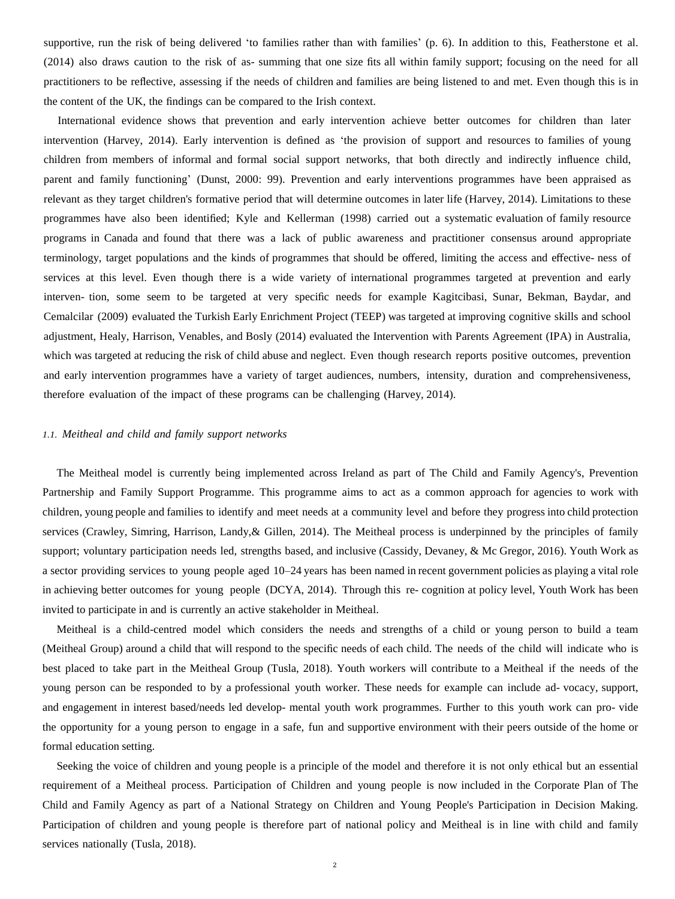supportive, run the risk of being delivered 'to families rather than with families' (p. 6). In addition to this, [Featherstone](#page-11-3) et al. [\(2014\)](#page-11-3) also draws caution to the risk of as- summing that one size fits all within family support; focusing on the need for all practitioners to be reflective, assessing if the needs of children and families are being listened to and met. Even though this is in the content of the UK, the findings can be compared to the Irish context.

International evidence shows that prevention and early intervention achieve better outcomes for children than later intervention [\(Harvey,](#page-11-4) [2014\)](#page-11-4). Early intervention is defined as 'the provision of support and resources to families of young children from members of informal and formal social support networks, that both directly and indirectly influence child, parent and family functioning' [\(Dunst,](#page-11-5) 2000: 99). Prevention and early interventions programmes have been appraised as relevant as they target children's formative period that will determine outcomes in later life [\(Harvey, 2014\)](#page-11-4). Limitations to these programmes have also been identified; Kyle and [Kellerman](#page-12-0) (1998) carried out a systematic evaluation of family resource programs in Canada and found that there was a lack of public awareness and practitioner consensus around appropriate terminology, target populations and the kinds of programmes that should be offered, limiting the access and effective- ness of services at this level. Even though there is a wide variety of international programmes targeted at prevention and early interven- tion, some seem to be targeted at very specific needs for example [Kagitcibasi,](#page-12-1) Sunar, Bekman, Baydar, and [Cemalcilar](#page-12-1) (2009) evaluated the Turkish Early Enrichment Project (TEEP) was targeted at improving cognitive skills and school adjustment, Healy, Harrison, [Venables,](#page-11-6) and Bosly [\(2014\)](#page-11-6) evaluated the Intervention with Parents Agreement (IPA) in Australia, which was targeted at reducing the risk of child abuse and neglect. Even though research reports positive outcomes, prevention and early intervention programmes have a variety of target audiences, numbers, intensity, duration and comprehensiveness, therefore evaluation of the impact of these programs can be challenging [\(Harvey,](#page-11-4) [2014\)](#page-11-4).

# *1.1. Meitheal and child and family support networks*

The Meitheal model is currently being implemented across Ireland as part of The Child and Family Agency's, Prevention Partnership and Family Support Programme. This programme aims to act as a common approach for agencies to work with children, young people and families to identify and meet needs at a community level and before they progress into child protection services [\(Crawley,](#page-11-7) Simring, Harrison, Landy,& [Gillen,](#page-11-7) 2014). The Meitheal process is underpinned by the principles of family support; voluntary participation needs led, strengths based, and inclusive (Cassidy, [Devaney,](#page-11-8) & Mc Gregor, 2016). Youth Work as a sector providing services to young people aged 10–24 years has been named in recent government policies as playing a vital role in achieving better outcomes for young people [\(DCYA,](#page-11-2) 2014). Through this re- cognition at policy level, Youth Work has been invited to participate in and is currently an active stakeholder in Meitheal.

Meitheal is a child-centred model which considers the needs and strengths of a child or young person to build a team (Meitheal Group) around a child that will respond to the specific needs of each child. The needs of the child will indicate who is best placed to take part in the Meitheal Group (Tusla, 2018). Youth workers will contribute to a Meitheal if the needs of the young person can be responded to by a professional youth worker. These needs for example can include ad- vocacy, support, and engagement in interest based/needs led develop- mental youth work programmes. Further to this youth work can pro- vide the opportunity for a young person to engage in a safe, fun and supportive environment with their peers outside of the home or formal education setting.

Seeking the voice of children and young people is a principle of the model and therefore it is not only ethical but an essential requirement of a Meitheal process. Participation of Children and young people is now included in the Corporate Plan of The Child and Family Agency as part of a National Strategy on Children and Young People's Participation in Decision Making. Participation of children and young people is therefore part of national policy and Meitheal is in line with child and family services nationally (Tusla, 2018).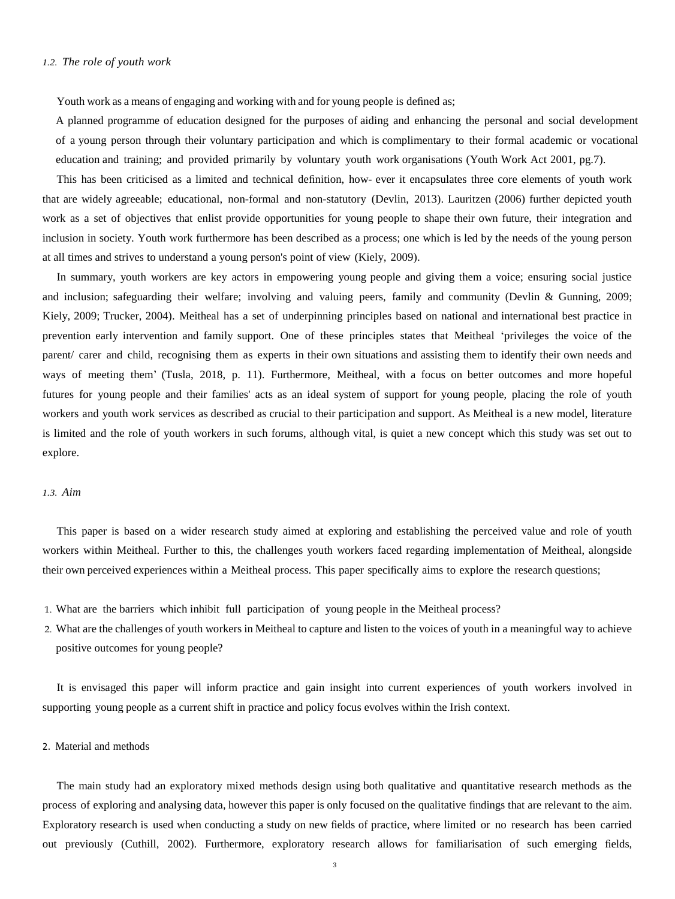Youth work as a means of engaging and working with and for young people is defined as;

A planned programme of education designed for the purposes of aiding and enhancing the personal and social development of a young person through their voluntary participation and which is complimentary to their formal academic or vocational education and training; and provided primarily by voluntary youth work organisations [\(Youth](#page-12-2) Work Act 2001, pg.7).

This has been criticised as a limited and technical definition, how- ever it encapsulates three core elements of youth work that are widely agreeable; educational, non-formal and non-statutory [\(Devlin,](#page-11-9) 2013). [Lauritzen \(2006\)](#page-12-3) further depicted youth work as a set of objectives that enlist provide opportunities for young people to shape their own future, their integration and inclusion in society. Youth work furthermore has been described as a process; one which is led by the needs of the young person at all times and strives to understand a young person's point of view [\(Kiely,](#page-12-4) 2009).

In summary, youth workers are key actors in empowering young people and giving them a voice; ensuring social justice and inclusion; safeguarding their welfare; involving and valuing peers, family and community (Devlin & [Gunning,](#page-11-10) 2009; [Kiely,](#page-12-4) 2009; [Trucker,](#page-12-5) 2004). Meitheal has a set of underpinning principles based on national and international best practice in prevention early intervention and family support. One of these principles states that Meitheal 'privileges the voice of the parent/ carer and child, recognising them as experts in their own situations and assisting them to identify their own needs and ways of meeting them' [\(Tusla,](#page-12-6) 2018, p. 11). Furthermore, Meitheal, with a focus on better outcomes and more hopeful futures for young people and their families' acts as an ideal system of support for young people, placing the role of youth workers and youth work services as described as crucial to their participation and support. As Meitheal is a new model, literature is limited and the role of youth workers in such forums, although vital, is quiet a new concept which this study was set out to explore.

# *1.3. Aim*

This paper is based on a wider research study aimed at exploring and establishing the perceived value and role of youth workers within Meitheal. Further to this, the challenges youth workers faced regarding implementation of Meitheal, alongside their own perceived experiences within a Meitheal process. This paper specifically aims to explore the research questions;

- 1. What are the barriers which inhibit full participation of young people in the Meitheal process?
- 2. What are the challenges of youth workers in Meitheal to capture and listen to the voices of youth in a meaningful way to achieve positive outcomes for young people?

It is envisaged this paper will inform practice and gain insight into current experiences of youth workers involved in supporting young people as a current shift in practice and policy focus evolves within the Irish context.

# 2. Material and methods

The main study had an exploratory mixed methods design using both qualitative and quantitative research methods as the process of exploring and analysing data, however this paper is only focused on the qualitative findings that are relevant to the aim. Exploratory research is used when conducting a study on new fields of practice, where limited or no research has been carried out previously [\(Cuthill,](#page-11-11) 2002). Furthermore, exploratory research allows for familiarisation of such emerging fields,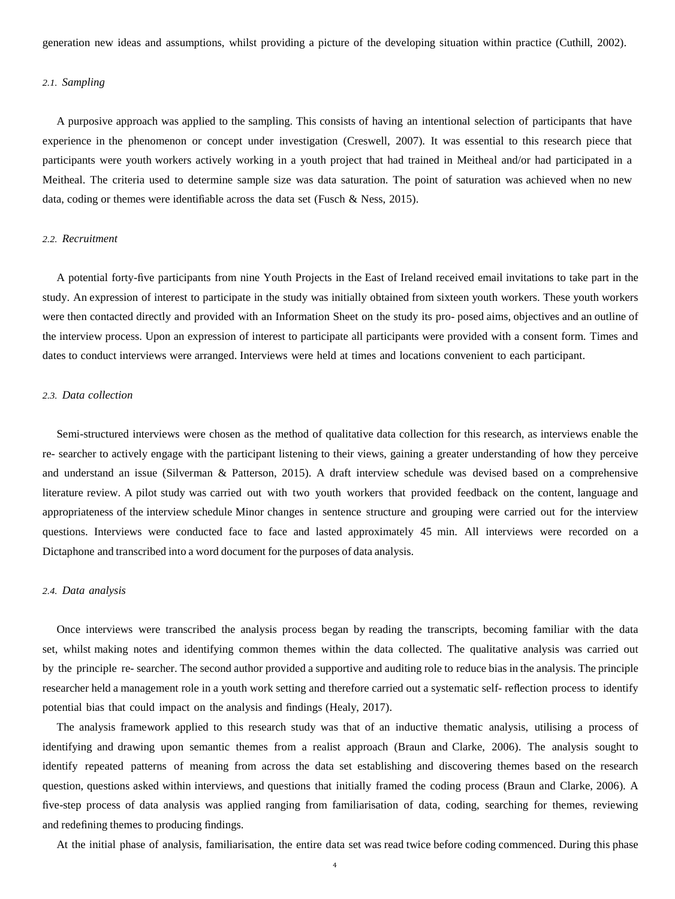generation new ideas and assumptions, whilst providing a picture of the developing situation within practice [\(Cuthill,](#page-11-11) [2002\)](#page-11-11).

#### *2.1. Sampling*

A purposive approach was applied to the sampling. This consists of having an intentional selection of participants that have experience in the phenomenon or concept under investigation [\(Creswell,](#page-11-12) 2007). It was essential to this research piece that participants were youth workers actively working in a youth project that had trained in Meitheal and/or had participated in a Meitheal. The criteria used to determine sample size was data saturation. The point of saturation was achieved when no new data, coding or themes were identifiable across the data set [\(Fusch](#page-11-13) & Ness, 2015).

#### *2.2. Recruitment*

A potential forty-five participants from nine Youth Projects in the East of Ireland received email invitations to take part in the study. An expression of interest to participate in the study was initially obtained from sixteen youth workers. These youth workers were then contacted directly and provided with an Information Sheet on the study its pro- posed aims, objectives and an outline of the interview process. Upon an expression of interest to participate all participants were provided with a consent form. Times and dates to conduct interviews were arranged. Interviews were held at times and locations convenient to each participant.

# *2.3. Data collection*

Semi-structured interviews were chosen as the method of qualitative data collection for this research, as interviews enable the re- searcher to actively engage with the participant listening to their views, gaining a greater understanding of how they perceive and understand an issue [\(Silverman](#page-12-7) & Patterson, 2015). A draft interview schedule was devised based on a comprehensive literature review. A pilot study was carried out with two youth workers that provided feedback on the content, language and appropriateness of the interview schedule Minor changes in sentence structure and grouping were carried out for the interview questions. Interviews were conducted face to face and lasted approximately 45 min. All interviews were recorded on a Dictaphone and transcribed into a word document for the purposes of data analysis.

#### *2.4. Data analysis*

Once interviews were transcribed the analysis process began by reading the transcripts, becoming familiar with the data set, whilst making notes and identifying common themes within the data collected. The qualitative analysis was carried out by the principle re- searcher. The second author provided a supportive and auditing role to reduce bias in the analysis. The principle researcher held a management role in a youth work setting and therefore carried out a systematic self- reflection process to identify potential bias that could impact on the analysis and findings [\(Healy,](#page-12-8) 2017).

The analysis framework applied to this research study was that of an inductive thematic analysis, utilising a process of identifying and drawing upon semantic themes from a realist approach [\(Braun](#page-11-14) and [Clarke,](#page-11-14) 2006). The analysis sought to identify repeated patterns of meaning from across the data set establishing and discovering themes based on the research question, questions asked within interviews, and questions that initially framed the coding process (Braun and [Clarke,](#page-11-14) [2006\)](#page-11-14). A five-step process of data analysis was applied ranging from familiarisation of data, coding, searching for themes, reviewing and redefining themes to producing findings.

At the initial phase of analysis, familiarisation, the entire data set was read twice before coding commenced. During this phase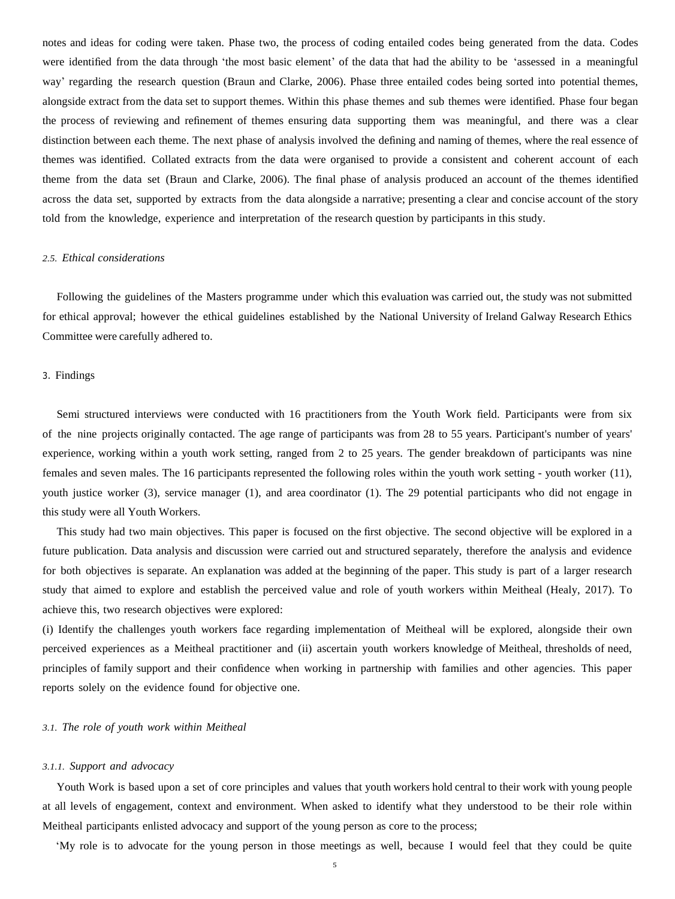notes and ideas for coding were taken. Phase two, the process of coding entailed codes being generated from the data. Codes were identified from the data through 'the most basic element' of the data that had the ability to be 'assessed in a meaningful way' regarding the research question (Braun and [Clarke,](#page-11-14) 2006). Phase three entailed codes being sorted into potential themes, alongside extract from the data set to support themes. Within this phase themes and sub themes were identified. Phase four began the process of reviewing and refinement of themes ensuring data supporting them was meaningful, and there was a clear distinction between each theme. The next phase of analysis involved the defining and naming of themes, where the real essence of themes was identified. Collated extracts from the data were organised to provide a consistent and coherent account of each theme from the data set [\(Braun](#page-11-14) and [Clarke,](#page-11-14) 2006). The final phase of analysis produced an account of the themes identified across the data set, supported by extracts from the data alongside a narrative; presenting a clear and concise account of the story told from the knowledge, experience and interpretation of the research question by participants in this study.

#### *2.5. Ethical considerations*

Following the guidelines of the Masters programme under which this evaluation was carried out, the study was not submitted for ethical approval; however the ethical guidelines established by the National University of Ireland Galway Research Ethics Committee were carefully adhered to.

# 3. Findings

Semi structured interviews were conducted with 16 practitioners from the Youth Work field. Participants were from six of the nine projects originally contacted. The age range of participants was from 28 to 55 years. Participant's number of years' experience, working within a youth work setting, ranged from 2 to 25 years. The gender breakdown of participants was nine females and seven males. The 16 participants represented the following roles within the youth work setting - youth worker (11), youth justice worker (3), service manager (1), and area coordinator (1). The 29 potential participants who did not engage in this study were all Youth Workers.

This study had two main objectives. This paper is focused on the first objective. The second objective will be explored in a future publication. Data analysis and discussion were carried out and structured separately, therefore the analysis and evidence for both objectives is separate. An explanation was added at the beginning of the paper. This study is part of a larger research study that aimed to explore and establish the perceived value and role of youth workers within Meitheal [\(Healy,](#page-12-8) 2017). To achieve this, two research objectives were explored:

(i) Identify the challenges youth workers face regarding implementation of Meitheal will be explored, alongside their own perceived experiences as a Meitheal practitioner and (ii) ascertain youth workers knowledge of Meitheal, thresholds of need, principles of family support and their confidence when working in partnership with families and other agencies. This paper reports solely on the evidence found for objective one.

#### *3.1. The role of youth work within Meitheal*

#### *3.1.1. Support and advocacy*

Youth Work is based upon a set of core principles and values that youth workers hold central to their work with young people at all levels of engagement, context and environment. When asked to identify what they understood to be their role within Meitheal participants enlisted advocacy and support of the young person as core to the process;

'My role is to advocate for the young person in those meetings as well, because I would feel that they could be quite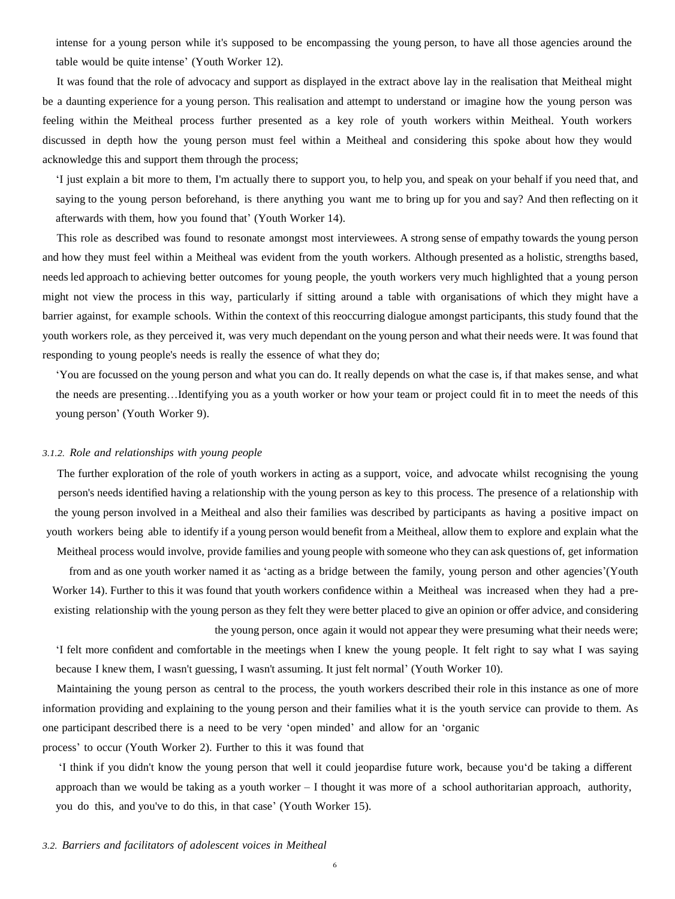intense for a young person while it's supposed to be encompassing the young person, to have all those agencies around the table would be quite intense' (Youth Worker 12).

It was found that the role of advocacy and support as displayed in the extract above lay in the realisation that Meitheal might be a daunting experience for a young person. This realisation and attempt to understand or imagine how the young person was feeling within the Meitheal process further presented as a key role of youth workers within Meitheal. Youth workers discussed in depth how the young person must feel within a Meitheal and considering this spoke about how they would acknowledge this and support them through the process;

'I just explain a bit more to them, I'm actually there to support you, to help you, and speak on your behalf if you need that, and saying to the young person beforehand, is there anything you want me to bring up for you and say? And then reflecting on it afterwards with them, how you found that' (Youth Worker 14).

This role as described was found to resonate amongst most interviewees. A strong sense of empathy towards the young person and how they must feel within a Meitheal was evident from the youth workers. Although presented as a holistic, strengths based, needs led approach to achieving better outcomes for young people, the youth workers very much highlighted that a young person might not view the process in this way, particularly if sitting around a table with organisations of which they might have a barrier against, for example schools. Within the context of this reoccurring dialogue amongst participants, this study found that the youth workers role, as they perceived it, was very much dependant on the young person and what their needs were. It was found that responding to young people's needs is really the essence of what they do;

'You are focussed on the young person and what you can do. It really depends on what the case is, if that makes sense, and what the needs are presenting…Identifying you as a youth worker or how your team or project could fit in to meet the needs of this young person' (Youth Worker 9).

# *3.1.2. Role and relationships with young people*

The further exploration of the role of youth workers in acting as a support, voice, and advocate whilst recognising the young person's needs identified having a relationship with the young person as key to this process. The presence of a relationship with the young person involved in a Meitheal and also their families was described by participants as having a positive impact on youth workers being able to identify if a young person would benefit from a Meitheal, allow them to explore and explain what the

Meitheal process would involve, provide families and young people with someone who they can ask questions of, get information from and as one youth worker named it as 'acting as a bridge between the family, young person and other agencies'(Youth Worker 14). Further to this it was found that youth workers confidence within a Meitheal was increased when they had a preexisting relationship with the young person as they felt they were better placed to give an opinion or offer advice, and considering

the young person, once again it would not appear they were presuming what their needs were; 'I felt more confident and comfortable in the meetings when I knew the young people. It felt right to say what I was saying because I knew them, I wasn't guessing, I wasn't assuming. It just felt normal' (Youth Worker 10).

Maintaining the young person as central to the process, the youth workers described their role in this instance as one of more information providing and explaining to the young person and their families what it is the youth service can provide to them. As one participant described there is a need to be very 'open minded' and allow for an 'organic

process' to occur (Youth Worker 2). Further to this it was found that

'I think if you didn't know the young person that well it could jeopardise future work, because you'd be taking a different approach than we would be taking as a youth worker  $-1$  thought it was more of a school authoritarian approach, authority, you do this, and you've to do this, in that case' (Youth Worker 15).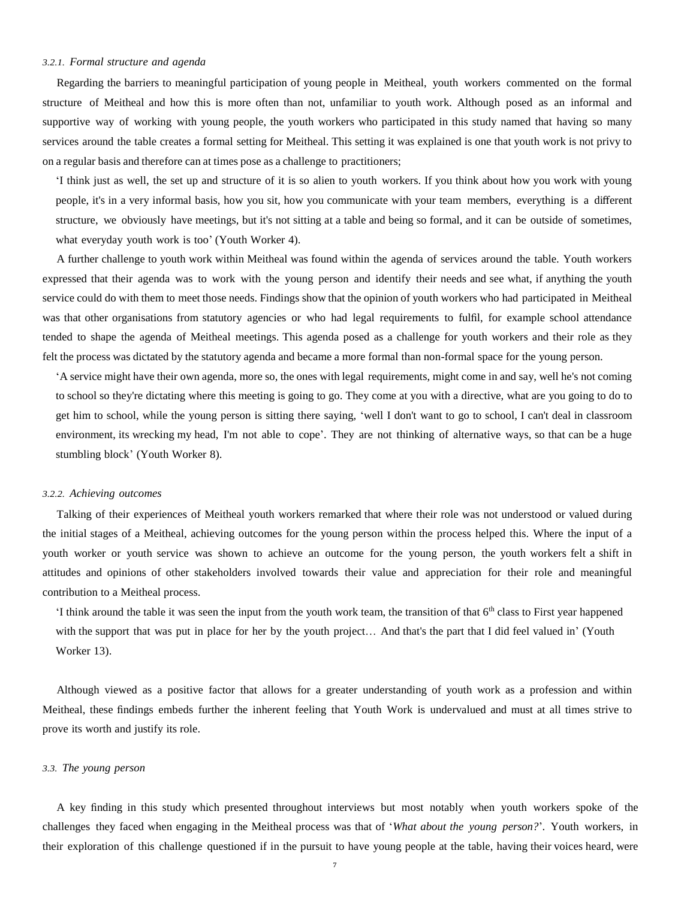## *3.2.1. Formal structure and agenda*

Regarding the barriers to meaningful participation of young people in Meitheal, youth workers commented on the formal structure of Meitheal and how this is more often than not, unfamiliar to youth work. Although posed as an informal and supportive way of working with young people, the youth workers who participated in this study named that having so many services around the table creates a formal setting for Meitheal. This setting it was explained is one that youth work is not privy to on a regular basis and therefore can at times pose as a challenge to practitioners;

'I think just as well, the set up and structure of it is so alien to youth workers. If you think about how you work with young people, it's in a very informal basis, how you sit, how you communicate with your team members, everything is a different structure, we obviously have meetings, but it's not sitting at a table and being so formal, and it can be outside of sometimes, what everyday youth work is too' (Youth Worker 4).

A further challenge to youth work within Meitheal was found within the agenda of services around the table. Youth workers expressed that their agenda was to work with the young person and identify their needs and see what, if anything the youth service could do with them to meet those needs. Findings show that the opinion of youth workers who had participated in Meitheal was that other organisations from statutory agencies or who had legal requirements to fulfil, for example school attendance tended to shape the agenda of Meitheal meetings. This agenda posed as a challenge for youth workers and their role as they felt the process was dictated by the statutory agenda and became a more formal than non-formal space for the young person.

'A service might have their own agenda, more so, the ones with legal requirements, might come in and say, well he's not coming to school so they're dictating where this meeting is going to go. They come at you with a directive, what are you going to do to get him to school, while the young person is sitting there saying, 'well I don't want to go to school, I can't deal in classroom environment, its wrecking my head, I'm not able to cope'. They are not thinking of alternative ways, so that can be a huge stumbling block' (Youth Worker 8).

#### *3.2.2. Achieving outcomes*

Talking of their experiences of Meitheal youth workers remarked that where their role was not understood or valued during the initial stages of a Meitheal, achieving outcomes for the young person within the process helped this. Where the input of a youth worker or youth service was shown to achieve an outcome for the young person, the youth workers felt a shift in attitudes and opinions of other stakeholders involved towards their value and appreciation for their role and meaningful contribution to a Meitheal process.

'I think around the table it was seen the input from the youth work team, the transition of that  $6<sup>th</sup>$  class to First year happened with the support that was put in place for her by the youth project... And that's the part that I did feel valued in' (Youth Worker 13).

Although viewed as a positive factor that allows for a greater understanding of youth work as a profession and within Meitheal, these findings embeds further the inherent feeling that Youth Work is undervalued and must at all times strive to prove its worth and justify its role.

#### *3.3. The young person*

A key finding in this study which presented throughout interviews but most notably when youth workers spoke of the challenges they faced when engaging in the Meitheal process was that of '*What about the young person?*'. Youth workers, in their exploration of this challenge questioned if in the pursuit to have young people at the table, having their voices heard, were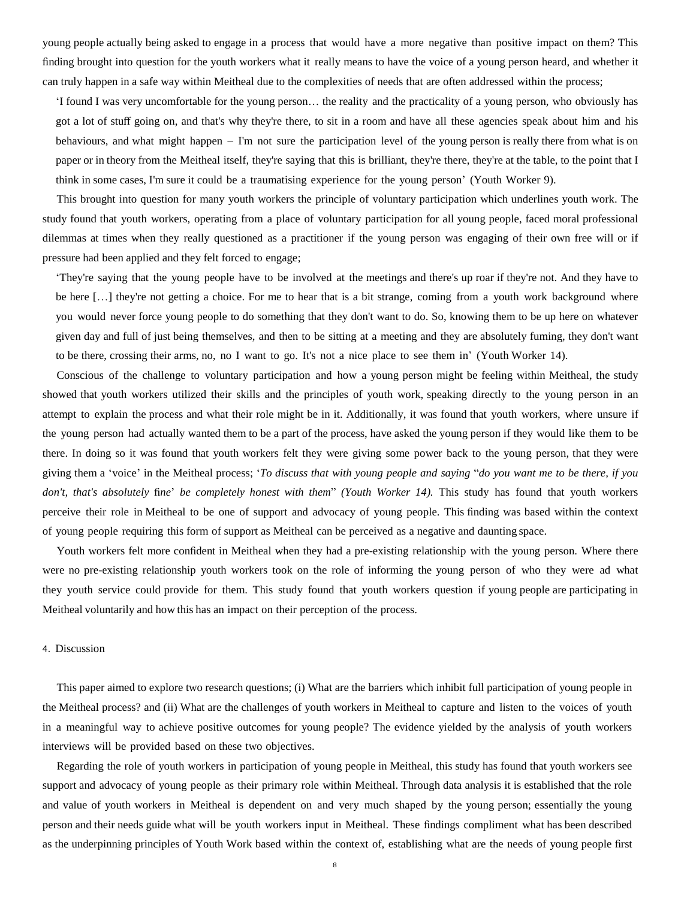young people actually being asked to engage in a process that would have a more negative than positive impact on them? This finding brought into question for the youth workers what it really means to have the voice of a young person heard, and whether it can truly happen in a safe way within Meitheal due to the complexities of needs that are often addressed within the process;

'I found I was very uncomfortable for the young person… the reality and the practicality of a young person, who obviously has got a lot of stuff going on, and that's why they're there, to sit in a room and have all these agencies speak about him and his behaviours, and what might happen – I'm not sure the participation level of the young person is really there from what is on paper or in theory from the Meitheal itself, they're saying that this is brilliant, they're there, they're at the table, to the point that I think in some cases, I'm sure it could be a traumatising experience for the young person' (Youth Worker 9).

This brought into question for many youth workers the principle of voluntary participation which underlines youth work. The study found that youth workers, operating from a place of voluntary participation for all young people, faced moral professional dilemmas at times when they really questioned as a practitioner if the young person was engaging of their own free will or if pressure had been applied and they felt forced to engage;

'They're saying that the young people have to be involved at the meetings and there's up roar if they're not. And they have to be here […] they're not getting a choice. For me to hear that is a bit strange, coming from a youth work background where you would never force young people to do something that they don't want to do. So, knowing them to be up here on whatever given day and full of just being themselves, and then to be sitting at a meeting and they are absolutely fuming, they don't want to be there, crossing their arms, no, no I want to go. It's not a nice place to see them in' (Youth Worker 14).

Conscious of the challenge to voluntary participation and how a young person might be feeling within Meitheal, the study showed that youth workers utilized their skills and the principles of youth work, speaking directly to the young person in an attempt to explain the process and what their role might be in it. Additionally, it was found that youth workers, where unsure if the young person had actually wanted them to be a part of the process, have asked the young person if they would like them to be there. In doing so it was found that youth workers felt they were giving some power back to the young person, that they were giving them a 'voice' in the Meitheal process; 'To discuss that with young people and saying "do you want me to be there, if you *don't, that's absolutely* fi*ne*' *be completely honest with them*" *(Youth Worker 14).* This study has found that youth workers perceive their role in Meitheal to be one of support and advocacy of young people. This finding was based within the context of young people requiring this form of support as Meitheal can be perceived as a negative and daunting space.

Youth workers felt more confident in Meitheal when they had a pre-existing relationship with the young person. Where there were no pre-existing relationship youth workers took on the role of informing the young person of who they were ad what they youth service could provide for them. This study found that youth workers question if young people are participating in Meitheal voluntarily and how this has an impact on their perception of the process.

# 4. Discussion

This paper aimed to explore two research questions; (i) What are the barriers which inhibit full participation of young people in the Meitheal process? and (ii) What are the challenges of youth workers in Meitheal to capture and listen to the voices of youth in a meaningful way to achieve positive outcomes for young people? The evidence yielded by the analysis of youth workers interviews will be provided based on these two objectives.

Regarding the role of youth workers in participation of young people in Meitheal, this study has found that youth workers see support and advocacy of young people as their primary role within Meitheal. Through data analysis it is established that the role and value of youth workers in Meitheal is dependent on and very much shaped by the young person; essentially the young person and their needs guide what will be youth workers input in Meitheal. These findings compliment what has been described as the underpinning principles of Youth Work based within the context of, establishing what are the needs of young people first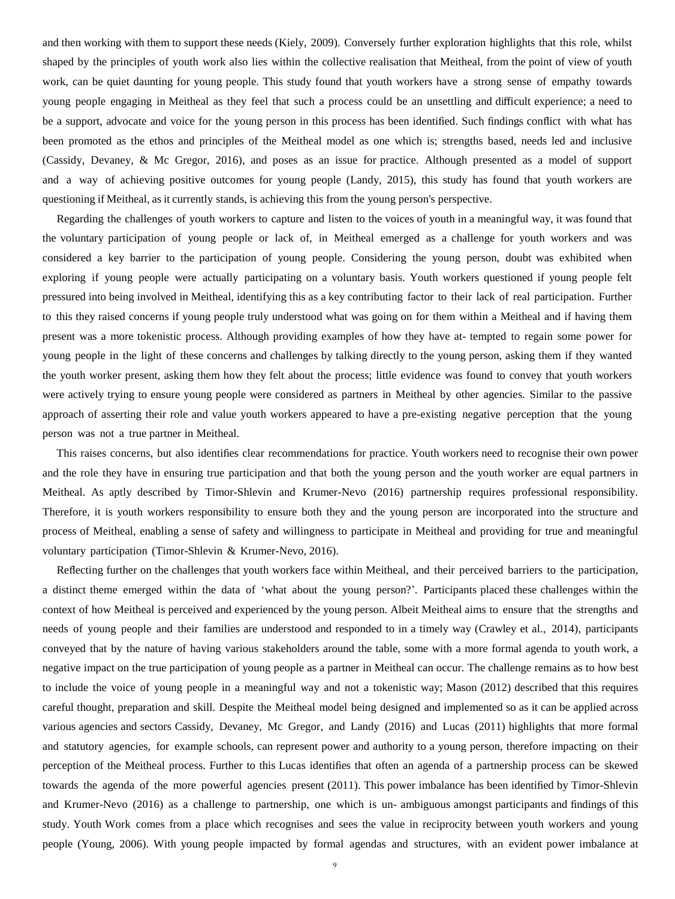and then working with them to support these needs [\(Kiely,](#page-12-4) [2009\)](#page-12-4). Conversely further exploration highlights that this role, whilst shaped by the principles of youth work also lies within the collective realisation that Meitheal, from the point of view of youth work, can be quiet daunting for young people. This study found that youth workers have a strong sense of empathy towards young people engaging in Meitheal as they feel that such a process could be an unsettling and difficult experience; a need to be a support, advocate and voice for the young person in this process has been identified. Such findings conflict with what has been promoted as the ethos and principles of the Meitheal model as one which is; strengths based, needs led and inclusive (Cassidy, [Devaney,](#page-11-8) & Mc Gregor, 2016), and poses as an issue for practice. Although presented as a model of support and a way of achieving positive outcomes for young people [\(Landy,](#page-12-9) 2015), this study has found that youth workers are questioning if Meitheal, as it currently stands, is achieving this from the young person's perspective.

Regarding the challenges of youth workers to capture and listen to the voices of youth in a meaningful way, it was found that the voluntary participation of young people or lack of, in Meitheal emerged as a challenge for youth workers and was considered a key barrier to the participation of young people. Considering the young person, doubt was exhibited when exploring if young people were actually participating on a voluntary basis. Youth workers questioned if young people felt pressured into being involved in Meitheal, identifying this as a key contributing factor to their lack of real participation. Further to this they raised concerns if young people truly understood what was going on for them within a Meitheal and if having them present was a more tokenistic process. Although providing examples of how they have at- tempted to regain some power for young people in the light of these concerns and challenges by talking directly to the young person, asking them if they wanted the youth worker present, asking them how they felt about the process; little evidence was found to convey that youth workers were actively trying to ensure young people were considered as partners in Meitheal by other agencies. Similar to the passive approach of asserting their role and value youth workers appeared to have a pre-existing negative perception that the young person was not a true partner in Meitheal.

This raises concerns, but also identifies clear recommendations for practice. Youth workers need to recognise their own power and the role they have in ensuring true participation and that both the young person and the youth worker are equal partners in Meitheal. As aptly described by [Timor-Shlevin](#page-12-10) and Krumer-Nevo (2016) partnership requires professional responsibility. Therefore, it is youth workers responsibility to ensure both they and the young person are incorporated into the structure and process of Meitheal, enabling a sense of safety and willingness to participate in Meitheal and providing for true and meaningful voluntary participation [\(Timor-Shlevin](#page-12-10) & Krumer-Nevo, [2016\)](#page-12-10).

Reflecting further on the challenges that youth workers face within Meitheal, and their perceived barriers to the participation, a distinct theme emerged within the data of 'what about the young person?'. Participants placed these challenges within the context of how Meitheal is perceived and experienced by the young person. Albeit Meitheal aims to ensure that the strengths and needs of young people and their families are understood and responded to in a timely way [\(Crawley](#page-11-7) et al., [2014\)](#page-11-7), participants conveyed that by the nature of having various stakeholders around the table, some with a more formal agenda to youth work, a negative impact on the true participation of young people as a partner in Meitheal can occur. The challenge remains as to how best to include the voice of young people in a meaningful way and not a tokenistic way; Mason (2012) described that this requires careful thought, preparation and skill. Despite the Meitheal model being designed and implemented so as it can be applied across various agencies and sectors Cassidy, [Devaney,](#page-11-15) Mc Gregor, and Landy (2016) and Lucas [\(2011\)](#page-12-11) highlights that more formal and statutory agencies, for example schools, can represent power and authority to a young person, therefore impacting on their perception of the Meitheal process. Further to this Lucas identifies that often an agenda of a partnership process can be skewed towards the agenda of the more powerful agencies present (2011). This power imbalance has been identified by [Timor-Shlevin](#page-12-10) [and](#page-12-10) [Krumer-Nevo](#page-12-10) (2016) as a challenge to partnership, one which is un- ambiguous amongst participants and findings of this study. Youth Work comes from a place which recognises and sees the value in reciprocity between youth workers and young people [\(Young,](#page-12-12) 2006). With young people impacted by formal agendas and structures, with an evident power imbalance at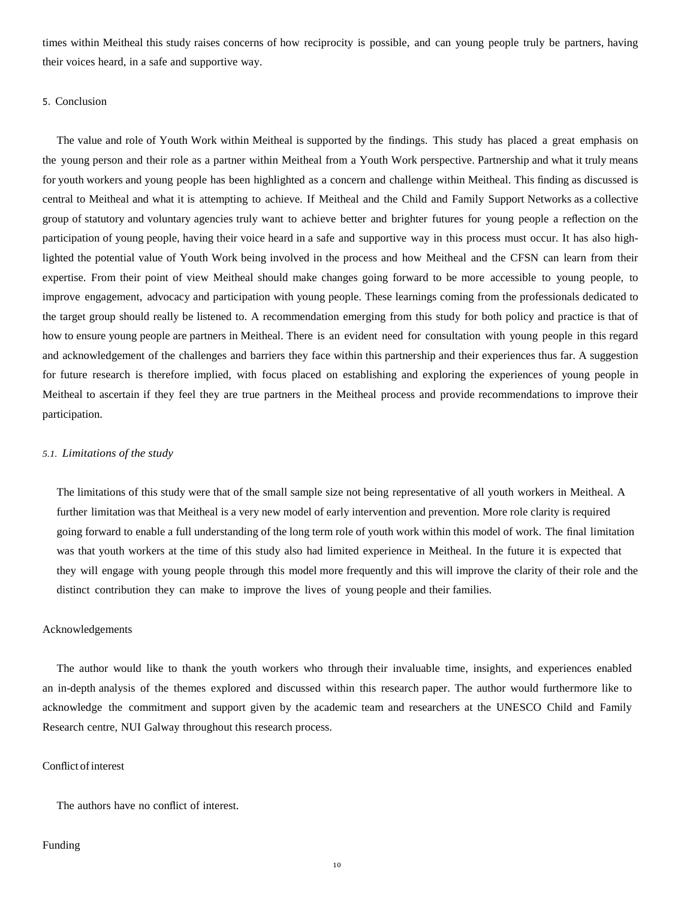times within Meitheal this study raises concerns of how reciprocity is possible, and can young people truly be partners, having their voices heard, in a safe and supportive way.

# 5. Conclusion

The value and role of Youth Work within Meitheal is supported by the findings. This study has placed a great emphasis on the young person and their role as a partner within Meitheal from a Youth Work perspective. Partnership and what it truly means for youth workers and young people has been highlighted as a concern and challenge within Meitheal. This finding as discussed is central to Meitheal and what it is attempting to achieve. If Meitheal and the Child and Family Support Networks as a collective group of statutory and voluntary agencies truly want to achieve better and brighter futures for young people a reflection on the participation of young people, having their voice heard in a safe and supportive way in this process must occur. It has also highlighted the potential value of Youth Work being involved in the process and how Meitheal and the CFSN can learn from their expertise. From their point of view Meitheal should make changes going forward to be more accessible to young people, to improve engagement, advocacy and participation with young people. These learnings coming from the professionals dedicated to the target group should really be listened to. A recommendation emerging from this study for both policy and practice is that of how to ensure young people are partners in Meitheal. There is an evident need for consultation with young people in this regard and acknowledgement of the challenges and barriers they face within this partnership and their experiences thus far. A suggestion for future research is therefore implied, with focus placed on establishing and exploring the experiences of young people in Meitheal to ascertain if they feel they are true partners in the Meitheal process and provide recommendations to improve their participation.

# *5.1. Limitations of the study*

The limitations of this study were that of the small sample size not being representative of all youth workers in Meitheal. A further limitation was that Meitheal is a very new model of early intervention and prevention. More role clarity is required going forward to enable a full understanding of the long term role of youth work within this model of work. The final limitation was that youth workers at the time of this study also had limited experience in Meitheal. In the future it is expected that they will engage with young people through this model more frequently and this will improve the clarity of their role and the distinct contribution they can make to improve the lives of young people and their families.

### Acknowledgements

The author would like to thank the youth workers who through their invaluable time, insights, and experiences enabled an in-depth analysis of the themes explored and discussed within this research paper. The author would furthermore like to acknowledge the commitment and support given by the academic team and researchers at the UNESCO Child and Family Research centre, NUI Galway throughout this research process.

#### Conflict of interest

The authors have no conflict of interest.

#### Funding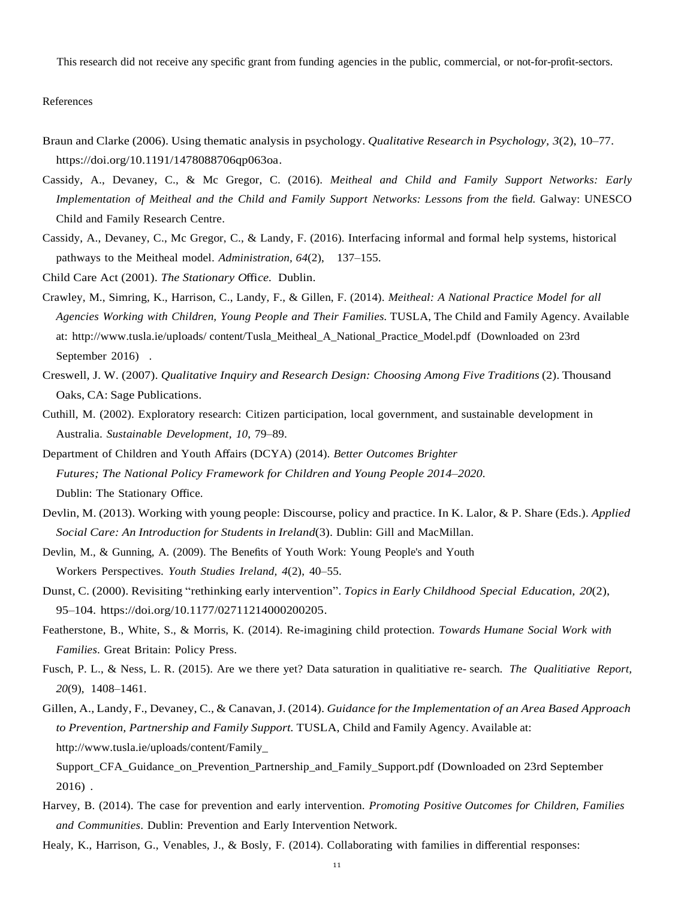<span id="page-11-8"></span>This research did not receive any specific grant from funding agencies in the public, commercial, or not-for-profit-sectors.

References

- <span id="page-11-14"></span>Braun and Clarke (2006). Using thematic analysis in psychology. *Qualitative Research in Psychology, 3*(2), 10–77. [https://doi.org/10.1191/1478088706qp063oa.](https://doi.org/10.1191/1478088706qp063oa)
- <span id="page-11-15"></span>Cassidy, A., [Devaney,](http://refhub.elsevier.com/S0190-7409(18)30385-2/rf0010) C., & Mc Gregor, C. (2016). *Meitheal and Child and Family Support [Networks:](http://refhub.elsevier.com/S0190-7409(18)30385-2/rf0010) Early [Implementation](http://refhub.elsevier.com/S0190-7409(18)30385-2/rf0010) of Meitheal and the Child and Family Support Networks: Lessons from the* fi*eld.* Galway: [UNESCO](http://refhub.elsevier.com/S0190-7409(18)30385-2/rf0010) Child and Family [Research](http://refhub.elsevier.com/S0190-7409(18)30385-2/rf0010) Centre.
- Cassidy, A., Devaney, C., Mc Gregor, C., & Landy, F. (2016). [Interfacing](http://refhub.elsevier.com/S0190-7409(18)30385-2/rf0015) informal and formal help systems, [historical](http://refhub.elsevier.com/S0190-7409(18)30385-2/rf0015) pathways to the Meitheal model. *[Administration,](http://refhub.elsevier.com/S0190-7409(18)30385-2/rf0015) 64*[\(2\), 137–155.](http://refhub.elsevier.com/S0190-7409(18)30385-2/rf0015)
- <span id="page-11-7"></span><span id="page-11-0"></span>Child Care Act (2001). *The [Stationary](http://refhub.elsevier.com/S0190-7409(18)30385-2/rf0020) O*ffi*ce.* Dublin.
- Crawley, M., Simring, K., Harrison, C., Landy, F., & Gillen, F. (2014). *Meitheal: A National Practice Model for all Agencies Working with Children, Young People and Their Families.* TUSLA, The Child and Family Agency. Available at: [http://www.tusla.ie/uploads/](http://www.tusla.ie/uploads/content/Tusla_Meitheal_A_National_Practice_Model.pdf) [content/Tusla\\_Meitheal\\_A\\_National\\_Practice\\_Model.pdf](http://www.tusla.ie/uploads/content/Tusla_Meitheal_A_National_Practice_Model.pdf) (Downloaded on 23rd September 2016).
- <span id="page-11-12"></span><span id="page-11-11"></span>Creswell, J. W. (2007). *[Qualitative](http://refhub.elsevier.com/S0190-7409(18)30385-2/rf0030) Inquiry and Research Design: Choosing Among Five [Traditions](http://refhub.elsevier.com/S0190-7409(18)30385-2/rf0030)* (2). Thousand Oaks, CA: Sage [Publications.](http://refhub.elsevier.com/S0190-7409(18)30385-2/rf0030)
- <span id="page-11-2"></span>Cuthill, M. (2002). Exploratory research: Citizen [participation,](http://refhub.elsevier.com/S0190-7409(18)30385-2/rf0035) local government, and sustainable [development](http://refhub.elsevier.com/S0190-7409(18)30385-2/rf0035) in Australia. *Sustainable [Development,](http://refhub.elsevier.com/S0190-7409(18)30385-2/rf0035) 10*, 79–89.
- [Department](http://refhub.elsevier.com/S0190-7409(18)30385-2/rf0040) of Children and Youth Affairs (DCYA) (2014). *Better Outcomes Brighter Futures; The National Policy [Framework](http://refhub.elsevier.com/S0190-7409(18)30385-2/rf0040) for Children and Young People 2014*–*2020.* Dublin: The [Stationary](http://refhub.elsevier.com/S0190-7409(18)30385-2/rf0040) Office.
- <span id="page-11-10"></span><span id="page-11-9"></span>Devlin, M. (2013). Working with young people: [Discourse,](http://refhub.elsevier.com/S0190-7409(18)30385-2/rf0050) policy and practice. In K. Lalor, & P. Share (Eds.). *[Applied](http://refhub.elsevier.com/S0190-7409(18)30385-2/rf0050) Social Care: An [Introduction](http://refhub.elsevier.com/S0190-7409(18)30385-2/rf0050) for Students in Ireland*(3). Dublin: Gill and [MacMillan.](http://refhub.elsevier.com/S0190-7409(18)30385-2/rf0050)
- <span id="page-11-5"></span>Devlin, M., & [Gunning,](http://refhub.elsevier.com/S0190-7409(18)30385-2/rf0055) A. (2009). The Benefits of Youth Work: Young [People's](http://refhub.elsevier.com/S0190-7409(18)30385-2/rf0055) and Youth Workers [Perspectives.](http://refhub.elsevier.com/S0190-7409(18)30385-2/rf0055) *Youth Studies Ireland, 4*(2), 40–55.
- <span id="page-11-3"></span>Dunst, C. (2000). Revisiting "rethinking early intervention". *Topics in Early Childhood Special Education, 20*(2), 95–104. [https://doi.org/10.1177/02711214000200205.](https://doi.org/10.1177/02711214000200205)
- <span id="page-11-13"></span>Featherstone, B., White, S., & Morris, K. (2014). [Re-imagining](http://refhub.elsevier.com/S0190-7409(18)30385-2/rf0065) child protection. *Towards [Humane](http://refhub.elsevier.com/S0190-7409(18)30385-2/rf0065) Social Work with [Families](http://refhub.elsevier.com/S0190-7409(18)30385-2/rf0065)*. Great Britain: Policy Press.
- <span id="page-11-1"></span>Fusch, P. L., & Ness, L. R. (2015). Are we there yet? Data saturation in [qualitiative](http://refhub.elsevier.com/S0190-7409(18)30385-2/rf0070) re- search. *[The Qualitiative Report,](http://refhub.elsevier.com/S0190-7409(18)30385-2/rf0070)  20*(9), [1408–1461.](http://refhub.elsevier.com/S0190-7409(18)30385-2/rf0070)

Gillen, A., Landy, F., Devaney, C., & Canavan, J. (2014). *Guidance for the Implementation of an Area Based Approach to Prevention, Partnership and Family Support.* TUSLA, Child and Family Agency. Available at: [http://www.tusla.ie/uploads/content/Family\\_](http://www.tusla.ie/uploads/content/Family_Support_CFA_Guidance_on_Prevention_Partnership_and_Family_Support.pdf) [Support\\_CFA\\_Guidance\\_on\\_Prevention\\_Partnership\\_and\\_Family\\_Support.pdf](http://www.tusla.ie/uploads/content/Family_Support_CFA_Guidance_on_Prevention_Partnership_and_Family_Support.pdf) (Downloaded on 23rd September 2016) .

- <span id="page-11-6"></span><span id="page-11-4"></span>Harvey, B. (2014). The case for prevention and early [intervention.](http://refhub.elsevier.com/S0190-7409(18)30385-2/rf0080) *Promoting Positive [Outcomes](http://refhub.elsevier.com/S0190-7409(18)30385-2/rf0080) for Children, Families and [Communities](http://refhub.elsevier.com/S0190-7409(18)30385-2/rf0080)*. Dublin: Prevention and Early [Intervention](http://refhub.elsevier.com/S0190-7409(18)30385-2/rf0080) Network.
- Healy, K., Harrison, G., Venables, J., & Bosly, F. (2014). Collaborating with families in differential responses: